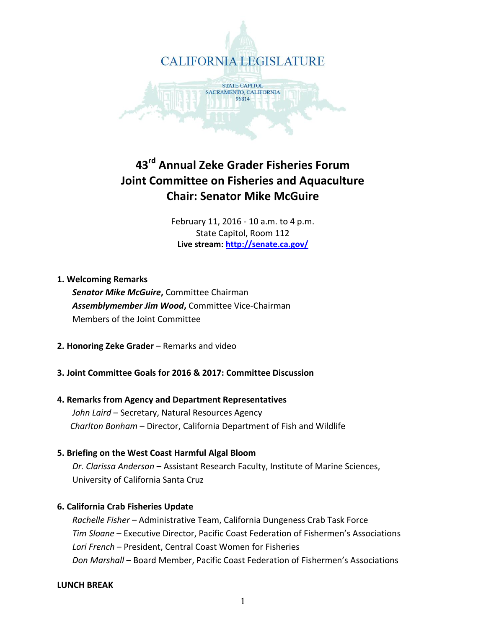

# **43rd Annual Zeke Grader Fisheries Forum Joint Committee on Fisheries and Aquaculture Chair: Senator Mike McGuire**

February 11, 2016 - 10 a.m. to 4 p.m. State Capitol, Room 112 **Live stream:<http://senate.ca.gov/>**

# **1. Welcoming Remarks**

 *Senator Mike McGuire***,** Committee Chairman *Assemblymember Jim Wood***,** Committee Vice-Chairman Members of the Joint Committee

**2. Honoring Zeke Grader** – Remarks and video

# **3. Joint Committee Goals for 2016 & 2017: Committee Discussion**

# **4. Remarks from Agency and Department Representatives**  *John Laird* – Secretary, Natural Resources Agency  *Charlton Bonham* – Director, California Department of Fish and Wildlife

- 
- **5. Briefing on the West Coast Harmful Algal Bloom**  *Dr. Clarissa Anderson* – Assistant Research Faculty, Institute of Marine Sciences,

University of California Santa Cruz

# **6. California Crab Fisheries Update**

 *Rachelle Fisher* – Administrative Team, California Dungeness Crab Task Force  *Tim Sloane* – Executive Director, Pacific Coast Federation of Fishermen's Associations  *Lori French* – President, Central Coast Women for Fisheries  *Don Marshall* – Board Member, Pacific Coast Federation of Fishermen's Associations

# **LUNCH BREAK**